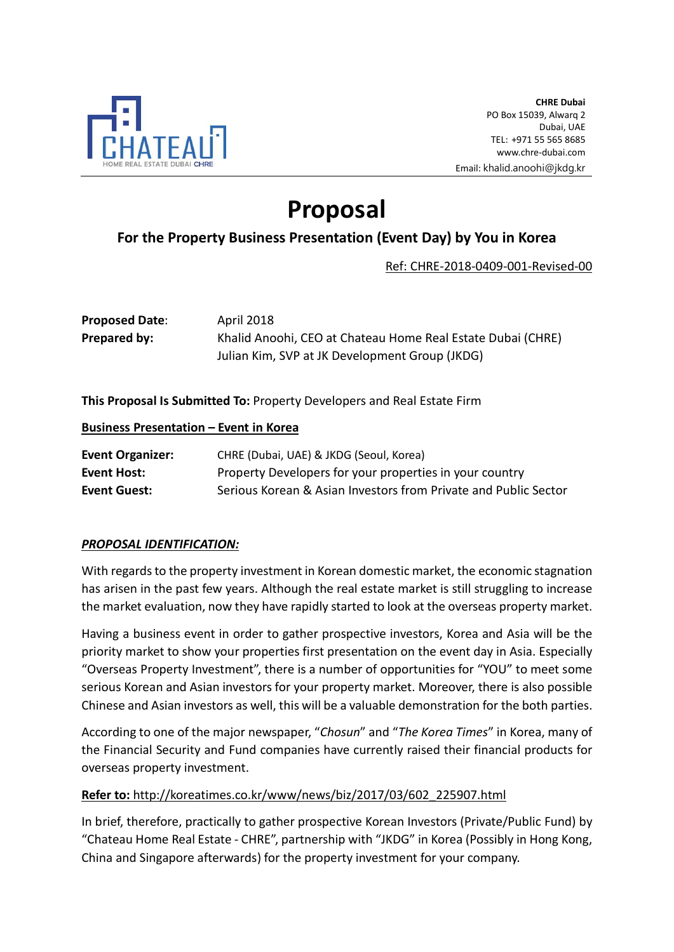

# Proposal

## For the Property Business Presentation (Event Day) by You in Korea

Ref: CHRE-2018-0409-001-Revised-00

| <b>Proposed Date:</b> | April 2018                                                  |
|-----------------------|-------------------------------------------------------------|
| Prepared by:          | Khalid Anoohi, CEO at Chateau Home Real Estate Dubai (CHRE) |
|                       | Julian Kim, SVP at JK Development Group (JKDG)              |

This Proposal Is Submitted To: Property Developers and Real Estate Firm

#### Business Presentation – Event in Korea

| <b>Event Organizer:</b> | CHRE (Dubai, UAE) & JKDG (Seoul, Korea)                         |
|-------------------------|-----------------------------------------------------------------|
| Event Host:             | Property Developers for your properties in your country         |
| <b>Event Guest:</b>     | Serious Korean & Asian Investors from Private and Public Sector |

## PROPOSAL IDENTIFICATION:

With regards to the property investment in Korean domestic market, the economic stagnation has arisen in the past few years. Although the real estate market is still struggling to increase the market evaluation, now they have rapidly started to look at the overseas property market.

Having a business event in order to gather prospective investors, Korea and Asia will be the priority market to show your properties first presentation on the event day in Asia. Especially "Overseas Property Investment", there is a number of opportunities for "YOU" to meet some serious Korean and Asian investors for your property market. Moreover, there is also possible Chinese and Asian investors as well, this will be a valuable demonstration for the both parties.

According to one of the major newspaper, "Chosun" and "The Korea Times" in Korea, many of the Financial Security and Fund companies have currently raised their financial products for overseas property investment.

## Refer to: http://koreatimes.co.kr/www/news/biz/2017/03/602\_225907.html

In brief, therefore, practically to gather prospective Korean Investors (Private/Public Fund) by "Chateau Home Real Estate - CHRE", partnership with "JKDG" in Korea (Possibly in Hong Kong, China and Singapore afterwards) for the property investment for your company.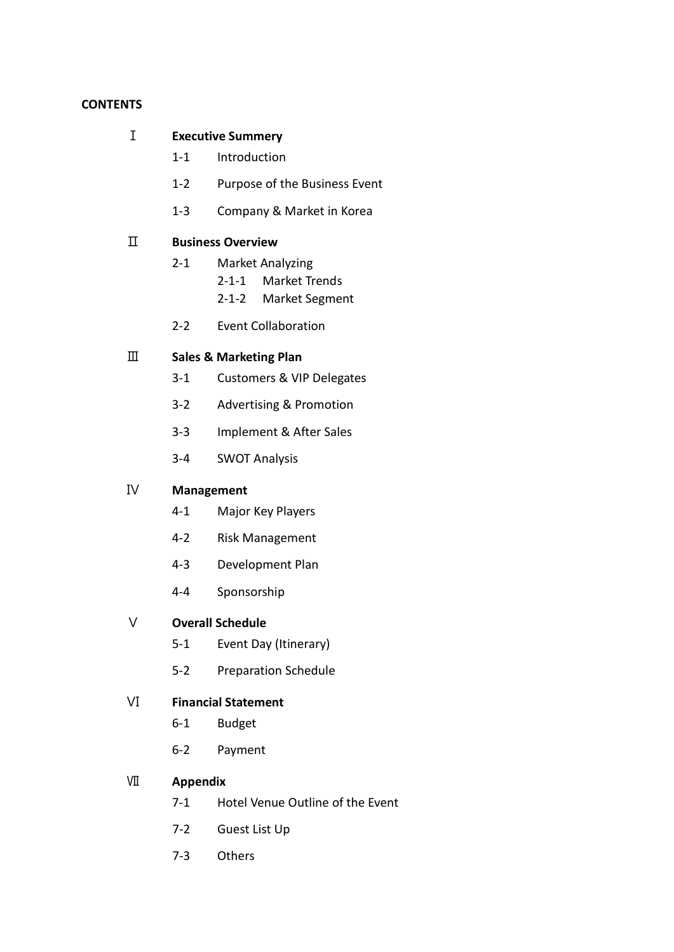#### **CONTENTS**

#### Ⅰ Executive Summery

- 1-1 Introduction
- 1-2 Purpose of the Business Event
- 1-3 Company & Market in Korea

## Ⅱ Business Overview

- 2-1 Market Analyzing
	- 2-1-1 Market Trends
	- 2-1-2 Market Segment
- 2-2 Event Collaboration

## Ⅲ Sales & Marketing Plan

- 3-1 Customers & VIP Delegates
- 3-2 Advertising & Promotion
- 3-3 Implement & After Sales
- 3-4 SWOT Analysis

#### Ⅳ Management

- 4-1 Major Key Players
- 4-2 Risk Management
- 4-3 Development Plan
- 4-4 Sponsorship

#### Ⅴ Overall Schedule

- 5-1 Event Day (Itinerary)
- 5-2 Preparation Schedule

#### Ⅵ Financial Statement

- 6-1 Budget
- 6-2 Payment

## Ⅶ Appendix

- 7-1 Hotel Venue Outline of the Event
- 7-2 Guest List Up
- 7-3 Others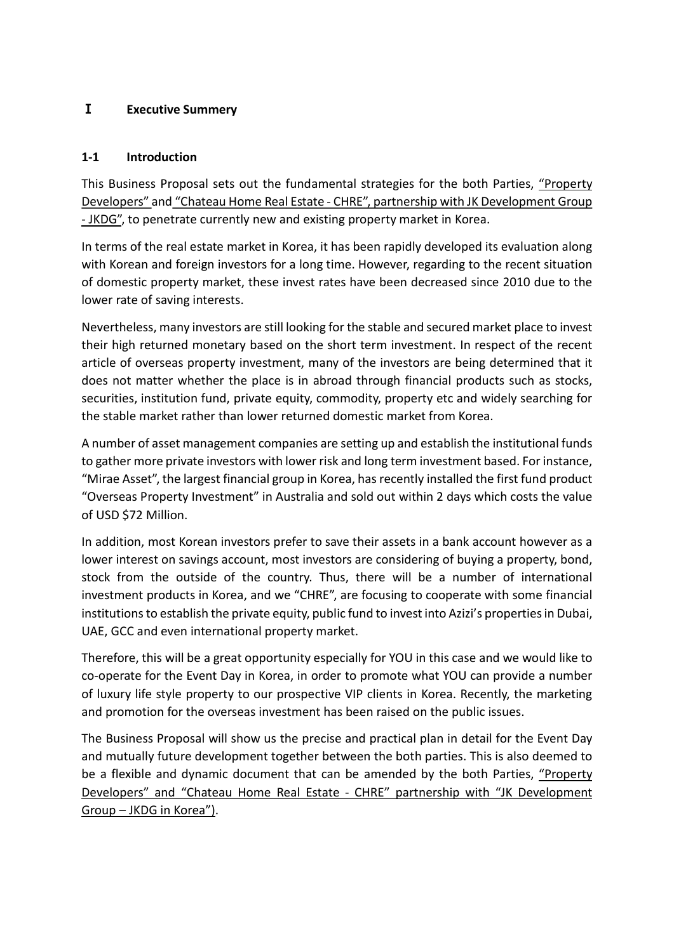## Ⅰ Executive Summery

## 1-1 Introduction

This Business Proposal sets out the fundamental strategies for the both Parties, "Property Developers" and "Chateau Home Real Estate - CHRE", partnership with JK Development Group - JKDG", to penetrate currently new and existing property market in Korea.

In terms of the real estate market in Korea, it has been rapidly developed its evaluation along with Korean and foreign investors for a long time. However, regarding to the recent situation of domestic property market, these invest rates have been decreased since 2010 due to the lower rate of saving interests.

Nevertheless, many investors are still looking for the stable and secured market place to invest their high returned monetary based on the short term investment. In respect of the recent article of overseas property investment, many of the investors are being determined that it does not matter whether the place is in abroad through financial products such as stocks, securities, institution fund, private equity, commodity, property etc and widely searching for the stable market rather than lower returned domestic market from Korea.

A number of asset management companies are setting up and establish the institutional funds to gather more private investors with lower risk and long term investment based. For instance, "Mirae Asset", the largest financial group in Korea, has recently installed the first fund product "Overseas Property Investment" in Australia and sold out within 2 days which costs the value of USD \$72 Million.

In addition, most Korean investors prefer to save their assets in a bank account however as a lower interest on savings account, most investors are considering of buying a property, bond, stock from the outside of the country. Thus, there will be a number of international investment products in Korea, and we "CHRE", are focusing to cooperate with some financial institutions to establish the private equity, public fund to invest into Azizi's properties in Dubai, UAE, GCC and even international property market.

Therefore, this will be a great opportunity especially for YOU in this case and we would like to co-operate for the Event Day in Korea, in order to promote what YOU can provide a number of luxury life style property to our prospective VIP clients in Korea. Recently, the marketing and promotion for the overseas investment has been raised on the public issues.

The Business Proposal will show us the precise and practical plan in detail for the Event Day and mutually future development together between the both parties. This is also deemed to be a flexible and dynamic document that can be amended by the both Parties, "Property Developers" and "Chateau Home Real Estate - CHRE" partnership with "JK Development Group – JKDG in Korea").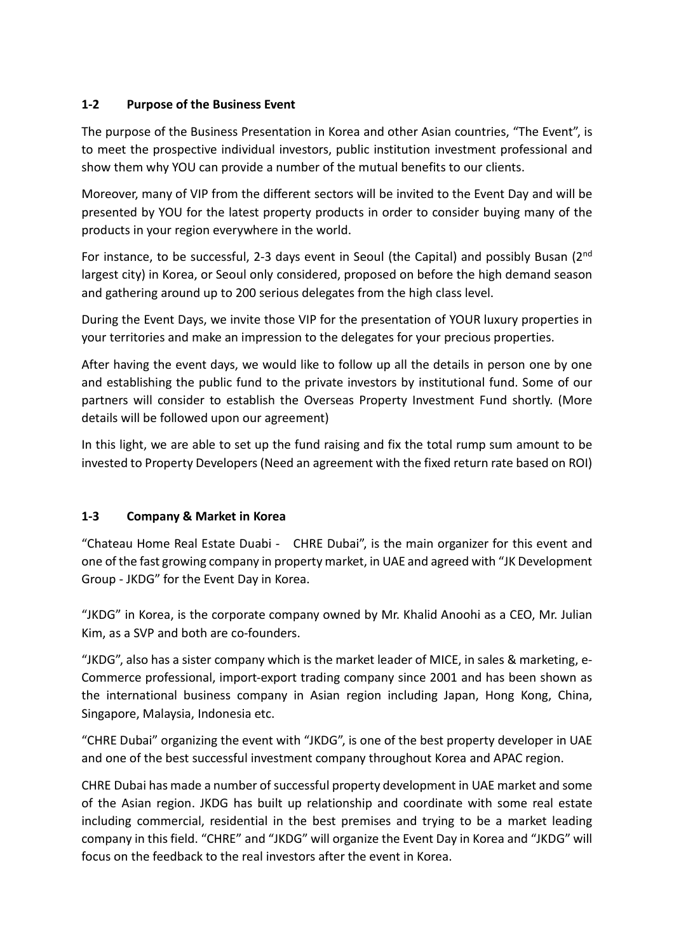## 1-2 Purpose of the Business Event

The purpose of the Business Presentation in Korea and other Asian countries, "The Event", is to meet the prospective individual investors, public institution investment professional and show them why YOU can provide a number of the mutual benefits to our clients.

Moreover, many of VIP from the different sectors will be invited to the Event Day and will be presented by YOU for the latest property products in order to consider buying many of the products in your region everywhere in the world.

For instance, to be successful, 2-3 days event in Seoul (the Capital) and possibly Busan (2<sup>nd</sup> largest city) in Korea, or Seoul only considered, proposed on before the high demand season and gathering around up to 200 serious delegates from the high class level.

During the Event Days, we invite those VIP for the presentation of YOUR luxury properties in your territories and make an impression to the delegates for your precious properties.

After having the event days, we would like to follow up all the details in person one by one and establishing the public fund to the private investors by institutional fund. Some of our partners will consider to establish the Overseas Property Investment Fund shortly. (More details will be followed upon our agreement)

In this light, we are able to set up the fund raising and fix the total rump sum amount to be invested to Property Developers (Need an agreement with the fixed return rate based on ROI)

## 1-3 Company & Market in Korea

"Chateau Home Real Estate Duabi - CHRE Dubai", is the main organizer for this event and one of the fast growing company in property market, in UAE and agreed with "JK Development Group - JKDG" for the Event Day in Korea.

"JKDG" in Korea, is the corporate company owned by Mr. Khalid Anoohi as a CEO, Mr. Julian Kim, as a SVP and both are co-founders.

"JKDG", also has a sister company which is the market leader of MICE, in sales & marketing, e-Commerce professional, import-export trading company since 2001 and has been shown as the international business company in Asian region including Japan, Hong Kong, China, Singapore, Malaysia, Indonesia etc.

"CHRE Dubai" organizing the event with "JKDG", is one of the best property developer in UAE and one of the best successful investment company throughout Korea and APAC region.

CHRE Dubai has made a number of successful property development in UAE market and some of the Asian region. JKDG has built up relationship and coordinate with some real estate including commercial, residential in the best premises and trying to be a market leading company in this field. "CHRE" and "JKDG" will organize the Event Day in Korea and "JKDG" will focus on the feedback to the real investors after the event in Korea.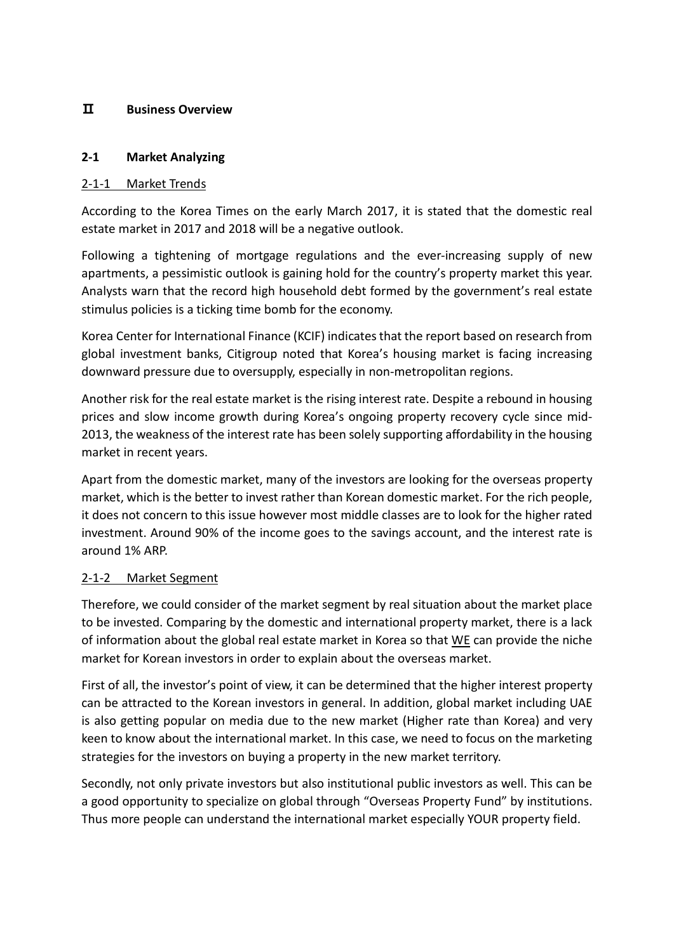### Ⅱ Business Overview

#### 2-1 Market Analyzing

#### 2-1-1 Market Trends

According to the Korea Times on the early March 2017, it is stated that the domestic real estate market in 2017 and 2018 will be a negative outlook.

Following a tightening of mortgage regulations and the ever-increasing supply of new apartments, a pessimistic outlook is gaining hold for the country's property market this year. Analysts warn that the record high household debt formed by the government's real estate stimulus policies is a ticking time bomb for the economy.

Korea Center for International Finance (KCIF) indicates that the report based on research from global investment banks, Citigroup noted that Korea's housing market is facing increasing downward pressure due to oversupply, especially in non-metropolitan regions.

Another risk for the real estate market is the rising interest rate. Despite a rebound in housing prices and slow income growth during Korea's ongoing property recovery cycle since mid-2013, the weakness of the interest rate has been solely supporting affordability in the housing market in recent years.

Apart from the domestic market, many of the investors are looking for the overseas property market, which is the better to invest rather than Korean domestic market. For the rich people, it does not concern to this issue however most middle classes are to look for the higher rated investment. Around 90% of the income goes to the savings account, and the interest rate is around 1% ARP.

## 2-1-2 Market Segment

Therefore, we could consider of the market segment by real situation about the market place to be invested. Comparing by the domestic and international property market, there is a lack of information about the global real estate market in Korea so that  $W_E$  can provide the niche market for Korean investors in order to explain about the overseas market.

First of all, the investor's point of view, it can be determined that the higher interest property can be attracted to the Korean investors in general. In addition, global market including UAE is also getting popular on media due to the new market (Higher rate than Korea) and very keen to know about the international market. In this case, we need to focus on the marketing strategies for the investors on buying a property in the new market territory.

Secondly, not only private investors but also institutional public investors as well. This can be a good opportunity to specialize on global through "Overseas Property Fund" by institutions. Thus more people can understand the international market especially YOUR property field.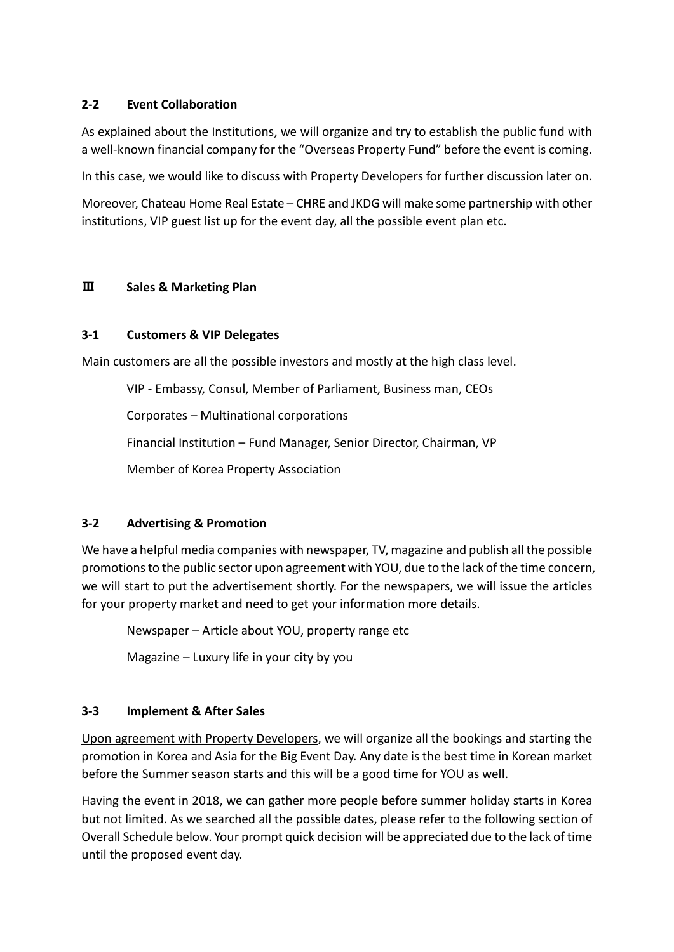## 2-2 Event Collaboration

As explained about the Institutions, we will organize and try to establish the public fund with a well-known financial company for the "Overseas Property Fund" before the event is coming.

In this case, we would like to discuss with Property Developers for further discussion later on.

Moreover, Chateau Home Real Estate – CHRE and JKDG will make some partnership with other institutions, VIP guest list up for the event day, all the possible event plan etc.

## Ⅲ Sales & Marketing Plan

## 3-1 Customers & VIP Delegates

Main customers are all the possible investors and mostly at the high class level.

VIP - Embassy, Consul, Member of Parliament, Business man, CEOs

Corporates – Multinational corporations

Financial Institution – Fund Manager, Senior Director, Chairman, VP

Member of Korea Property Association

## 3-2 Advertising & Promotion

We have a helpful media companies with newspaper, TV, magazine and publish all the possible promotions to the public sector upon agreement with YOU, due to the lack of the time concern, we will start to put the advertisement shortly. For the newspapers, we will issue the articles for your property market and need to get your information more details.

Newspaper – Article about YOU, property range etc

Magazine – Luxury life in your city by you

## 3-3 Implement & After Sales

Upon agreement with Property Developers, we will organize all the bookings and starting the promotion in Korea and Asia for the Big Event Day. Any date is the best time in Korean market before the Summer season starts and this will be a good time for YOU as well.

Having the event in 2018, we can gather more people before summer holiday starts in Korea but not limited. As we searched all the possible dates, please refer to the following section of Overall Schedule below. Your prompt quick decision will be appreciated due to the lack of time until the proposed event day.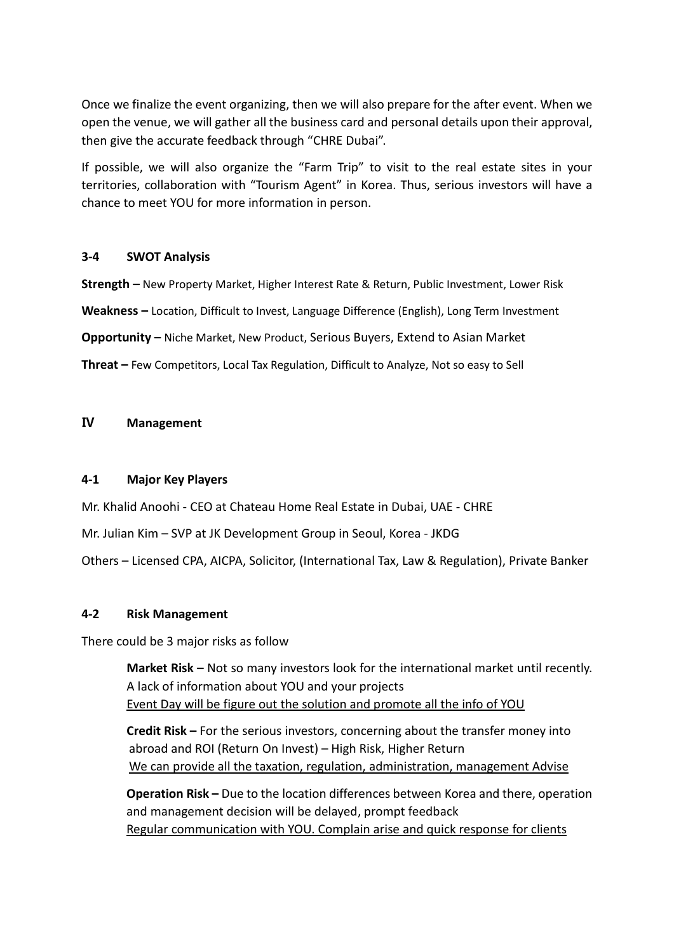Once we finalize the event organizing, then we will also prepare for the after event. When we open the venue, we will gather all the business card and personal details upon their approval, then give the accurate feedback through "CHRE Dubai".

If possible, we will also organize the "Farm Trip" to visit to the real estate sites in your territories, collaboration with "Tourism Agent" in Korea. Thus, serious investors will have a chance to meet YOU for more information in person.

#### 3-4 SWOT Analysis

Strength – New Property Market, Higher Interest Rate & Return, Public Investment, Lower Risk Weakness – Location, Difficult to Invest, Language Difference (English), Long Term Investment Opportunity – Niche Market, New Product, Serious Buyers, Extend to Asian Market Threat – Few Competitors, Local Tax Regulation, Difficult to Analyze, Not so easy to Sell

#### Ⅳ Management

### 4-1 Major Key Players

Mr. Khalid Anoohi - CEO at Chateau Home Real Estate in Dubai, UAE - CHRE

Mr. Julian Kim – SVP at JK Development Group in Seoul, Korea - JKDG

Others – Licensed CPA, AICPA, Solicitor, (International Tax, Law & Regulation), Private Banker

#### 4-2 Risk Management

There could be 3 major risks as follow

Market Risk – Not so many investors look for the international market until recently. A lack of information about YOU and your projects Event Day will be figure out the solution and promote all the info of YOU

Credit Risk – For the serious investors, concerning about the transfer money into abroad and ROI (Return On Invest) – High Risk, Higher Return We can provide all the taxation, regulation, administration, management Advise

Operation Risk – Due to the location differences between Korea and there, operation and management decision will be delayed, prompt feedback Regular communication with YOU. Complain arise and quick response for clients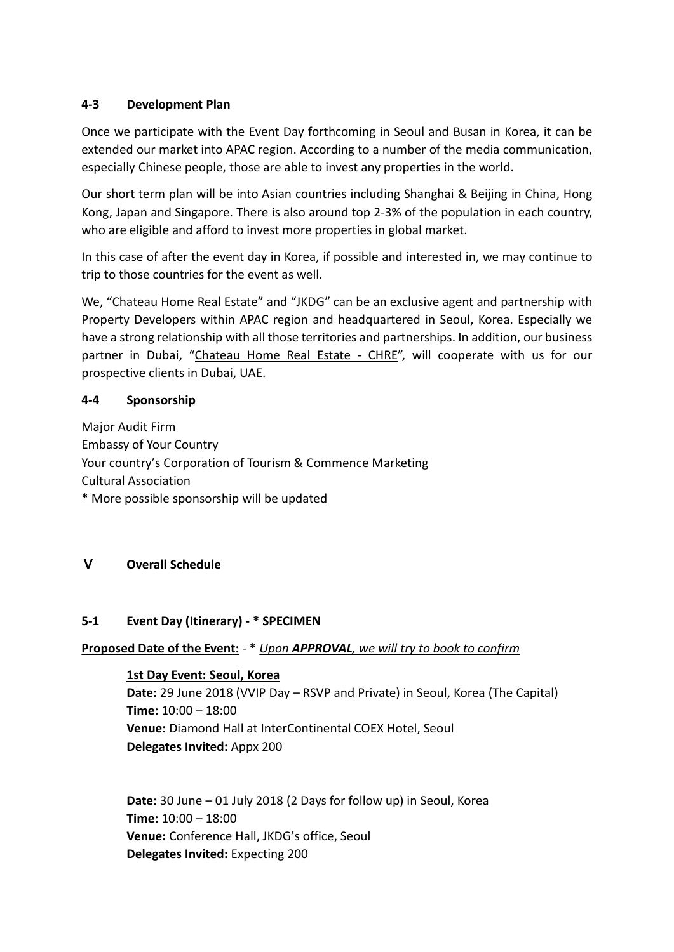## 4-3 Development Plan

Once we participate with the Event Day forthcoming in Seoul and Busan in Korea, it can be extended our market into APAC region. According to a number of the media communication, especially Chinese people, those are able to invest any properties in the world.

Our short term plan will be into Asian countries including Shanghai & Beijing in China, Hong Kong, Japan and Singapore. There is also around top 2-3% of the population in each country, who are eligible and afford to invest more properties in global market.

In this case of after the event day in Korea, if possible and interested in, we may continue to trip to those countries for the event as well.

We, "Chateau Home Real Estate" and "JKDG" can be an exclusive agent and partnership with Property Developers within APAC region and headquartered in Seoul, Korea. Especially we have a strong relationship with all those territories and partnerships. In addition, our business partner in Dubai, "Chateau Home Real Estate - CHRE", will cooperate with us for our prospective clients in Dubai, UAE.

#### 4-4 Sponsorship

Major Audit Firm Embassy of Your Country Your country's Corporation of Tourism & Commence Marketing Cultural Association \* More possible sponsorship will be updated

## Ⅴ Overall Schedule

## 5-1 Event Day (Itinerary) - \* SPECIMEN

## Proposed Date of the Event: - \* Upon APPROVAL, we will try to book to confirm

1st Day Event: Seoul, Korea Date: 29 June 2018 (VVIP Day – RSVP and Private) in Seoul, Korea (The Capital) Time: 10:00 – 18:00 Venue: Diamond Hall at InterContinental COEX Hotel, Seoul Delegates Invited: Appx 200

Date: 30 June – 01 July 2018 (2 Days for follow up) in Seoul, Korea Time: 10:00 – 18:00 Venue: Conference Hall, JKDG's office, Seoul Delegates Invited: Expecting 200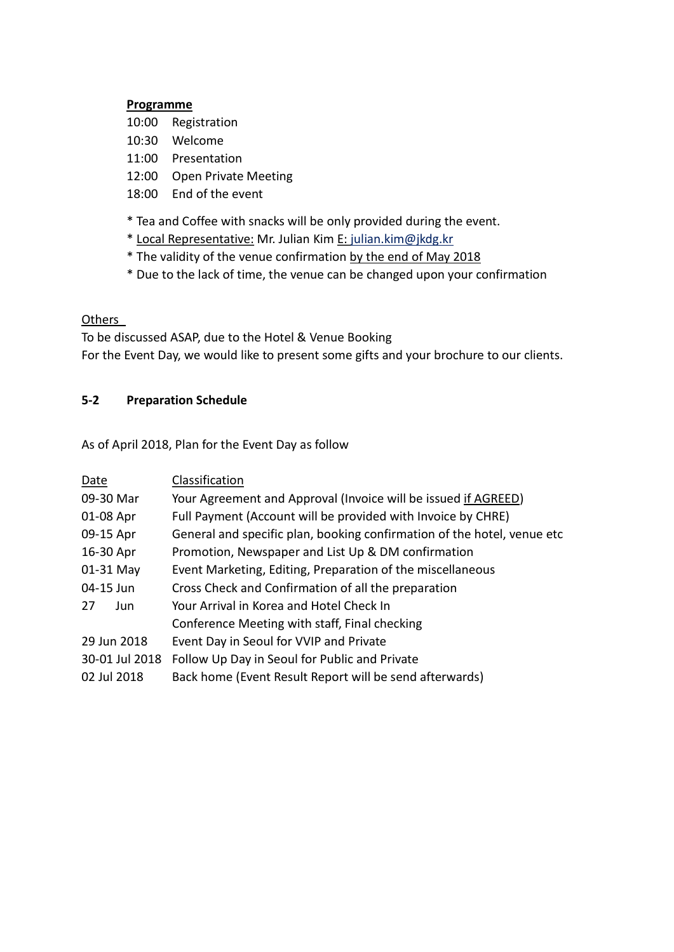#### Programme

- 10:00 Registration
- 10:30 Welcome
- 11:00 Presentation
- 12:00 Open Private Meeting
- 18:00 End of the event
- \* Tea and Coffee with snacks will be only provided during the event.
- \* Local Representative: Mr. Julian Kim E: julian.kim@jkdg.kr
- \* The validity of the venue confirmation by the end of May 2018
- \* Due to the lack of time, the venue can be changed upon your confirmation

#### **Others**

To be discussed ASAP, due to the Hotel & Venue Booking For the Event Day, we would like to present some gifts and your brochure to our clients.

## 5-2 Preparation Schedule

As of April 2018, Plan for the Event Day as follow

| Date           | Classification                                                          |
|----------------|-------------------------------------------------------------------------|
| 09-30 Mar      | Your Agreement and Approval (Invoice will be issued if AGREED)          |
| 01-08 Apr      | Full Payment (Account will be provided with Invoice by CHRE)            |
| 09-15 Apr      | General and specific plan, booking confirmation of the hotel, venue etc |
| 16-30 Apr      | Promotion, Newspaper and List Up & DM confirmation                      |
| 01-31 May      | Event Marketing, Editing, Preparation of the miscellaneous              |
| 04-15 Jun      | Cross Check and Confirmation of all the preparation                     |
| 27<br>Jun      | Your Arrival in Korea and Hotel Check In                                |
|                | Conference Meeting with staff, Final checking                           |
| 29 Jun 2018    | Event Day in Seoul for VVIP and Private                                 |
| 30-01 Jul 2018 | Follow Up Day in Seoul for Public and Private                           |
| 02 Jul 2018    | Back home (Event Result Report will be send afterwards)                 |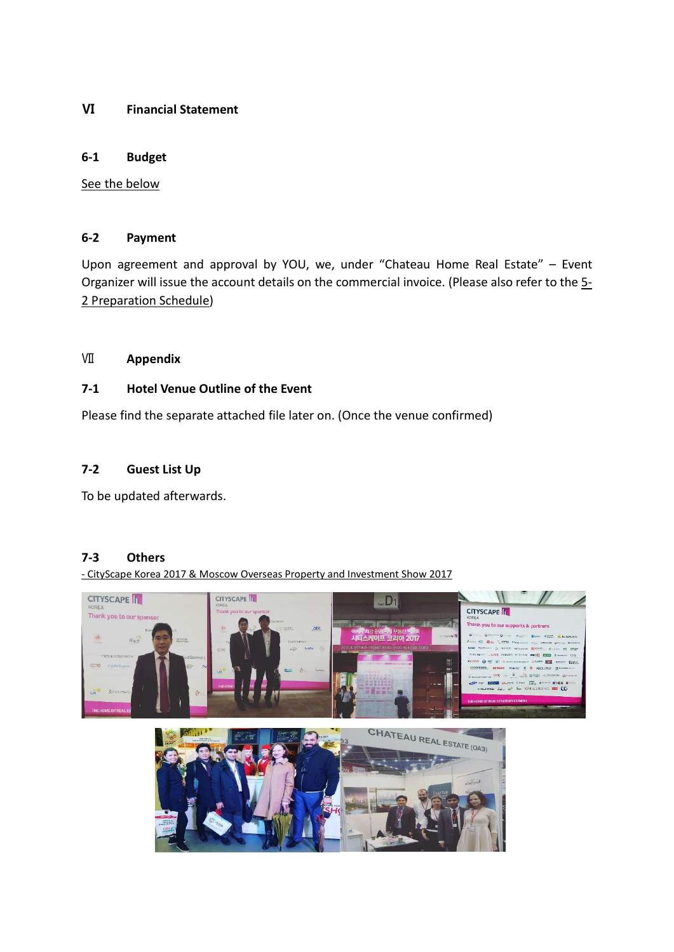#### Ⅵ Financial Statement

#### 6-1 Budget

See the below

#### 6-2 Payment

Upon agreement and approval by YOU, we, under "Chateau Home Real Estate" – Event Organizer will issue the account details on the commercial invoice. (Please also refer to the 5-2 Preparation Schedule)

## Ⅶ Appendix

#### 7-1 Hotel Venue Outline of the Event

Please find the separate attached file later on. (Once the venue confirmed)

## 7-2 Guest List Up

To be updated afterwards.

### 7-3 Others

- CityScape Korea 2017 & Moscow Overseas Property and Investment Show 2017

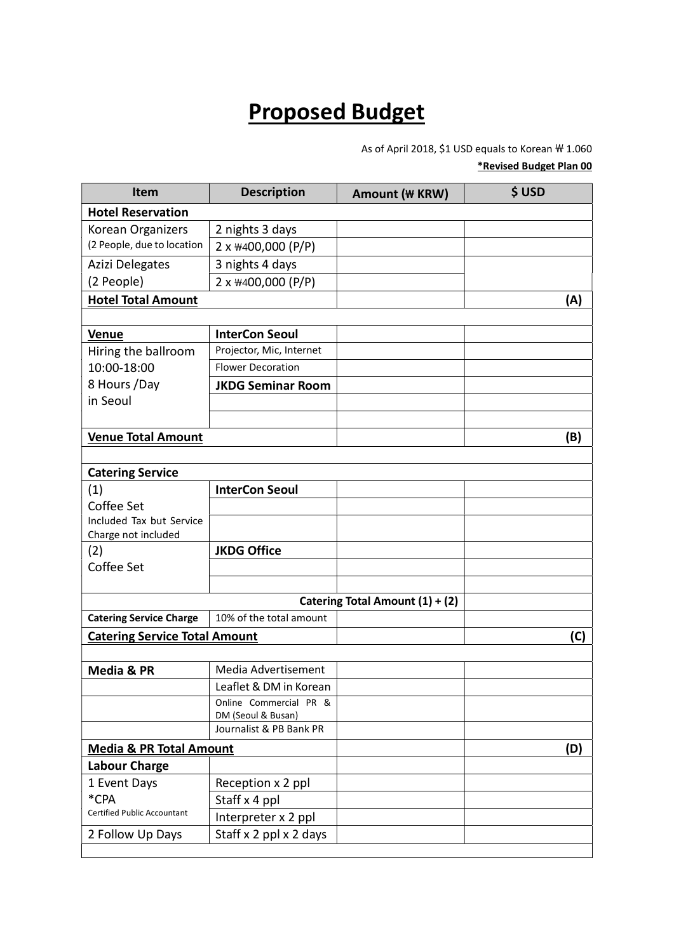## Proposed Budget

As of April 2018, \$1 USD equals to Korean  $\rm \#$  1.060

#### \*Revised Budget Plan 00

| <b>Item</b>                          | <b>Description</b>       | Amount (\ KRW)                  | \$USD |
|--------------------------------------|--------------------------|---------------------------------|-------|
| <b>Hotel Reservation</b>             |                          |                                 |       |
| Korean Organizers                    | 2 nights 3 days          |                                 |       |
| (2 People, due to location           | 2 x \400,000 (P/P)       |                                 |       |
| Azizi Delegates                      | 3 nights 4 days          |                                 |       |
| (2 People)                           | 2 x \400,000 (P/P)       |                                 |       |
| <b>Hotel Total Amount</b>            |                          |                                 | (A)   |
|                                      |                          |                                 |       |
| <b>Venue</b>                         | <b>InterCon Seoul</b>    |                                 |       |
| Hiring the ballroom                  | Projector, Mic, Internet |                                 |       |
| 10:00-18:00                          | <b>Flower Decoration</b> |                                 |       |
| 8 Hours /Day                         | <b>JKDG Seminar Room</b> |                                 |       |
| in Seoul                             |                          |                                 |       |
|                                      |                          |                                 |       |
| <b>Venue Total Amount</b>            |                          |                                 | (B)   |
|                                      |                          |                                 |       |
| <b>Catering Service</b>              |                          |                                 |       |
| (1)                                  | <b>InterCon Seoul</b>    |                                 |       |
| Coffee Set                           |                          |                                 |       |
| Included Tax but Service             |                          |                                 |       |
| Charge not included                  |                          |                                 |       |
| (2)<br>Coffee Set                    | <b>JKDG Office</b>       |                                 |       |
|                                      |                          |                                 |       |
|                                      |                          | Catering Total Amount (1) + (2) |       |
| <b>Catering Service Charge</b>       | 10% of the total amount  |                                 |       |
| <b>Catering Service Total Amount</b> |                          |                                 | (C)   |
|                                      |                          |                                 |       |
| Media & PR                           | Media Advertisement      |                                 |       |
|                                      | Leaflet & DM in Korean   |                                 |       |
|                                      | Online Commercial PR &   |                                 |       |
|                                      | DM (Seoul & Busan)       |                                 |       |
|                                      | Journalist & PB Bank PR  |                                 |       |
| <b>Media &amp; PR Total Amount</b>   |                          |                                 | (D)   |
| <b>Labour Charge</b>                 |                          |                                 |       |
| 1 Event Days                         | Reception x 2 ppl        |                                 |       |
| *CPA                                 | Staff x 4 ppl            |                                 |       |
| <b>Certified Public Accountant</b>   | Interpreter x 2 ppl      |                                 |       |
| 2 Follow Up Days                     | Staff x 2 ppl x 2 days   |                                 |       |